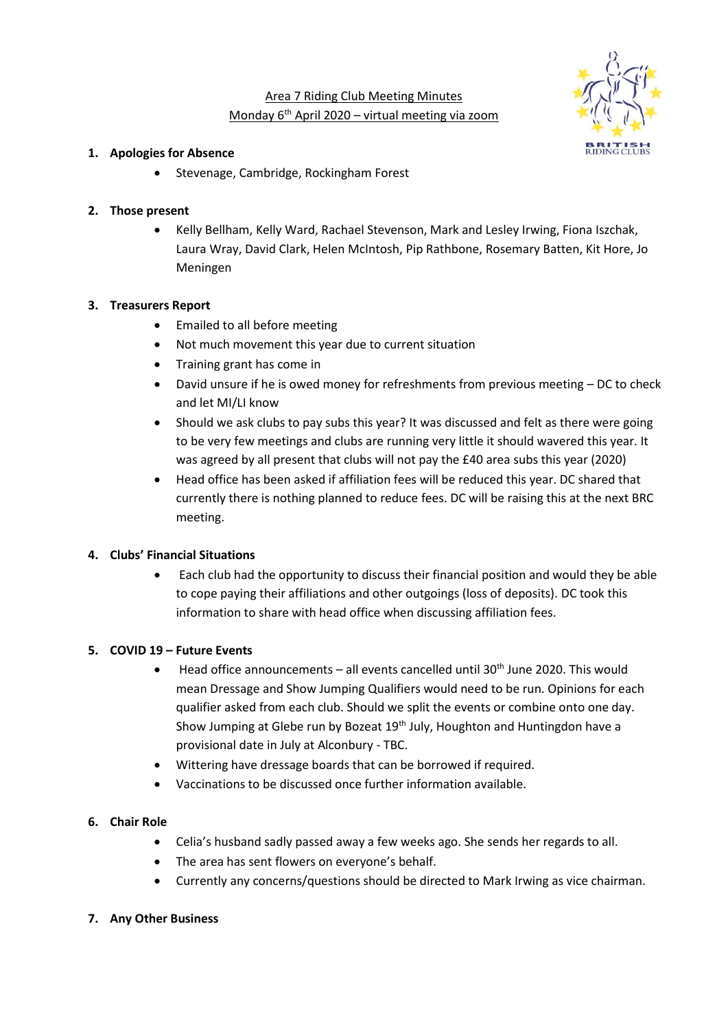# Area 7 Riding Club Meeting Minutes Monday 6th April 2020 – virtual meeting via zoom



#### **1. Apologies for Absence**

• Stevenage, Cambridge, Rockingham Forest

#### **2. Those present**

• Kelly Bellham, Kelly Ward, Rachael Stevenson, Mark and Lesley Irwing, Fiona Iszchak, Laura Wray, David Clark, Helen McIntosh, Pip Rathbone, Rosemary Batten, Kit Hore, Jo Meningen

#### **3. Treasurers Report**

- Emailed to all before meeting
- Not much movement this year due to current situation
- Training grant has come in
- David unsure if he is owed money for refreshments from previous meeting DC to check and let MI/LI know
- Should we ask clubs to pay subs this year? It was discussed and felt as there were going to be very few meetings and clubs are running very little it should wavered this year. It was agreed by all present that clubs will not pay the £40 area subs this year (2020)
- Head office has been asked if affiliation fees will be reduced this year. DC shared that currently there is nothing planned to reduce fees. DC will be raising this at the next BRC meeting.

### **4. Clubs' Financial Situations**

• Each club had the opportunity to discuss their financial position and would they be able to cope paying their affiliations and other outgoings (loss of deposits). DC took this information to share with head office when discussing affiliation fees.

### **5. COVID 19 – Future Events**

- Head office announcements all events cancelled until  $30<sup>th</sup>$  June 2020. This would mean Dressage and Show Jumping Qualifiers would need to be run. Opinions for each qualifier asked from each club. Should we split the events or combine onto one day. Show Jumping at Glebe run by Bozeat 19<sup>th</sup> July, Houghton and Huntingdon have a provisional date in July at Alconbury - TBC.
- Wittering have dressage boards that can be borrowed if required.
- Vaccinations to be discussed once further information available.

#### **6. Chair Role**

- Celia's husband sadly passed away a few weeks ago. She sends her regards to all.
- The area has sent flowers on everyone's behalf.
- Currently any concerns/questions should be directed to Mark Irwing as vice chairman.

#### **7. Any Other Business**